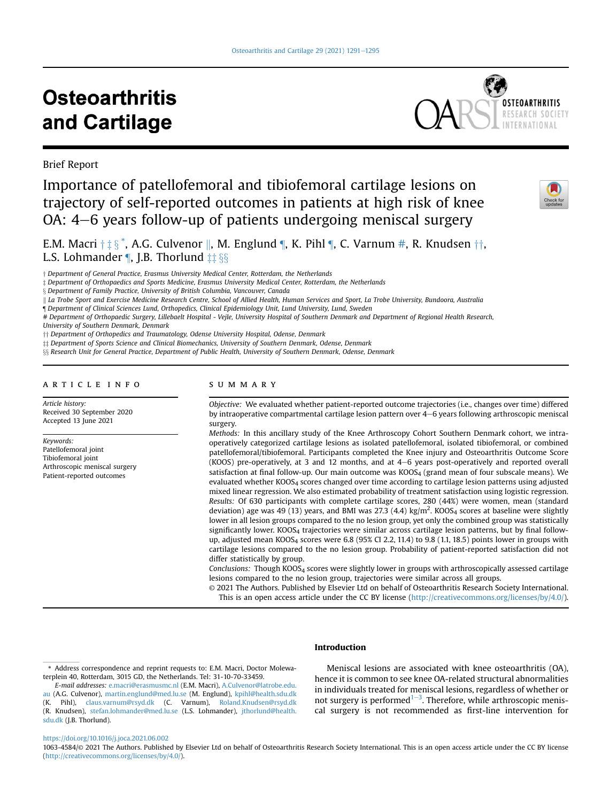# **Osteoarthritis** and Cartilage



Brief Report

# Importance of patellofemoral and tibiofemoral cartilage lesions on trajectory of self-reported outcomes in patients at high risk of knee  $OA: 4–6$  years follow-up of patients undergoing meniscal surgery



E.M. Macri  $\dagger \ddagger \S$   $\tilde{\S}$ , A.G. Culvenor  $\parallel$ , M. Englund  $\P$ , K. Pihl  $\P$ , C. Varnum [#,](#page-0-2) R. Knudsen  $\dagger\dagger$ , L.S. Lohmander  $\P$ , J.B. Thorlund  $\pm \frac{1}{2}$ 

 $\dagger$  Department of General Practice, Erasmus University Medical Center, Rotterdam, the Netherlands

§ Department of Family Practice, University of British Columbia, Vancouver, Canada

K La Trobe Sport and Exercise Medicine Research Centre, School of Allied Health, Human Services and Sport, La Trobe University, Bundoora, Australia

<span id="page-0-1"></span>¶ Department of Clinical Sciences Lund, Orthopedics, Clinical Epidemiology Unit, Lund University, Lund, Sweden

<span id="page-0-2"></span># Department of Orthopaedic Surgery, Lillebaelt Hospital - Vejle, University Hospital of Southern Denmark and Department of Regional Health Research, University of Southern Denmark, Denmark

<sup>††</sup> Department of Orthopedics and Traumatology, Odense University Hospital, Odense, Denmark

 $\ddagger\ddagger$  Department of Sports Science and Clinical Biomechanics, University of Southern Denmark, Odense, Denmark

 $\S$ <sup>§</sup> Research Unit for General Practice, Department of Public Health, University of Southern Denmark, Odense, Denmark

#### article info

Article history: Received 30 September 2020 Accepted 13 June 2021

Keywords: Patellofemoral joint Tibiofemoral joint Arthroscopic meniscal surgery Patient-reported outcomes

## summary

Objective: We evaluated whether patient-reported outcome trajectories (i.e., changes over time) differed by intraoperative compartmental cartilage lesion pattern over 4-6 years following arthroscopic meniscal surgery.

Methods: In this ancillary study of the Knee Arthroscopy Cohort Southern Denmark cohort, we intraoperatively categorized cartilage lesions as isolated patellofemoral, isolated tibiofemoral, or combined patellofemoral/tibiofemoral. Participants completed the Knee injury and Osteoarthritis Outcome Score (KOOS) pre-operatively, at 3 and 12 months, and at  $4-6$  years post-operatively and reported overall satisfaction at final follow-up. Our main outcome was KOOS<sub>4</sub> (grand mean of four subscale means). We evaluated whether KOOS4 scores changed over time according to cartilage lesion patterns using adjusted mixed linear regression. We also estimated probability of treatment satisfaction using logistic regression. Results: Of 630 participants with complete cartilage scores, 280 (44%) were women, mean (standard deviation) age was 49 (13) years, and BMI was 27.3 (4.4) kg/m<sup>2</sup>. KOOS<sub>4</sub> scores at baseline were slightly lower in all lesion groups compared to the no lesion group, yet only the combined group was statistically significantly lower. KOOS<sub>4</sub> trajectories were similar across cartilage lesion patterns, but by final followup, adjusted mean KOOS<sub>4</sub> scores were 6.8 (95% CI 2.2, 11.4) to 9.8 (1.1, 18.5) points lower in groups with cartilage lesions compared to the no lesion group. Probability of patient-reported satisfaction did not differ statistically by group.

Conclusions: Though KOOS<sub>4</sub> scores were slightly lower in groups with arthroscopically assessed cartilage lesions compared to the no lesion group, trajectories were similar across all groups.

© 2021 The Authors. Published by Elsevier Ltd on behalf of Osteoarthritis Research Society International. This is an open access article under the CC BY license [\(http://creativecommons.org/licenses/by/4.0/](http://creativecommons.org/licenses/by/4.0/)).

# Introduction

Meniscal lesions are associated with knee osteoarthritis (OA), hence it is common to see knee OA-related structural abnormalities in individuals treated for meniscal lesions, regardless of whether or not surgery is performed $1-3$  $1-3$  $1-3$ . Therefore, while arthroscopic meniscal surgery is not recommended as first-line intervention for

#### <https://doi.org/10.1016/j.joca.2021.06.002>

1063-4584/© 2021 The Authors. Published by Elsevier Ltd on behalf of Osteoarthritis Research Society International. This is an open access article under the CC BY license ([http://creativecommons.org/licenses/by/4.0/\)](http://creativecommons.org/licenses/by/4.0/).

z Department of Orthopaedics and Sports Medicine, Erasmus University Medical Center, Rotterdam, the Netherlands

<span id="page-0-0"></span><sup>\*</sup> Address correspondence and reprint requests to: E.M. Macri, Doctor Molewaterplein 40, Rotterdam, 3015 GD, the Netherlands. Tel: 31-10-70-33459.

E-mail addresses: [e.macri@erasmusmc.nl](mailto:e.macri@erasmusmc.nl) (E.M. Macri), [A.Culvenor@latrobe.edu.](mailto:A.Culvenor@latrobe.edu.au) [au](mailto:A.Culvenor@latrobe.edu.au) (A.G. Culvenor), [martin.englund@med.lu.se](mailto:martin.englund@med.lu.se) (M. Englund), [kpihl@health.sdu.dk](mailto:kpihl@health.sdu.dk) (K. Pihl), [claus.varnum@rsyd.dk](mailto:claus.varnum@rsyd.dk) (C. Varnum), [Roland.Knudsen@rsyd.dk](mailto:Roland.Knudsen@rsyd.dk) (R. Knudsen), [stefan.lohmander@med.lu.se](mailto:stefan.lohmander@med.lu.se) (L.S. Lohmander), [jthorlund@health.](mailto:jthorlund@health.sdu.dk) [sdu.dk](mailto:jthorlund@health.sdu.dk) (J.B. Thorlund).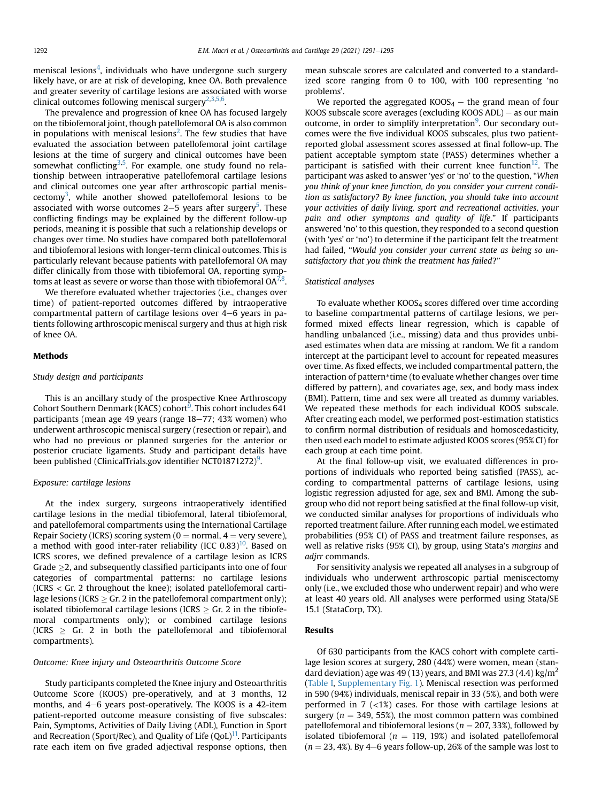meniscal lesions<sup>[4](#page-4-1)</sup>, individuals who have undergone such surgery likely have, or are at risk of developing, knee OA. Both prevalence and greater severity of cartilage lesions are associated with worse clinical outcomes following meniscal surgery<sup>[2](#page-4-2),[3](#page-4-3),[5](#page-4-4),[6](#page-4-5)</sup>.

The prevalence and progression of knee OA has focused largely on the tibiofemoral joint, though patellofemoral OA is also common in populations with meniscal lesions<sup>[2](#page-4-2)</sup>. The few studies that have evaluated the association between patellofemoral joint cartilage lesions at the time of surgery and clinical outcomes have been somewhat conflicting<sup>[3,](#page-4-3)[5](#page-4-4)</sup>. For example, one study found no relationship between intraoperative patellofemoral cartilage lesions and clinical outcomes one year after arthroscopic partial menis $c$ ectomy<sup>3</sup>, while another showed patellofemoral lesions to be associated with worse outcomes 2–5 years after surgery<sup>5</sup>. These conflicting findings may be explained by the different follow-up periods, meaning it is possible that such a relationship develops or changes over time. No studies have compared both patellofemoral and tibiofemoral lesions with longer-term clinical outcomes. This is particularly relevant because patients with patellofemoral OA may differ clinically from those with tibiofemoral OA, reporting symptoms at least as severe or worse than those with tibiofemoral OA $^{7,8}.$  $^{7,8}.$  $^{7,8}.$  $^{7,8}.$ 

We therefore evaluated whether trajectories (i.e., changes over time) of patient-reported outcomes differed by intraoperative compartmental pattern of cartilage lesions over  $4-6$  years in patients following arthroscopic meniscal surgery and thus at high risk of knee OA.

#### Methods

#### Study design and participants

This is an ancillary study of the prospective Knee Arthroscopy Cohort Southern Denmark (KACS) cohort<sup>[9](#page-4-8)</sup>. This cohort includes 641 participants (mean age 49 years (range 18-77; 43% women) who underwent arthroscopic meniscal surgery (resection or repair), and who had no previous or planned surgeries for the anterior or posterior cruciate ligaments. Study and participant details have been published (ClinicalTrials.gov identifier NCT01871272) $^9$  $^9$ .

#### Exposure: cartilage lesions

At the index surgery, surgeons intraoperatively identified cartilage lesions in the medial tibiofemoral, lateral tibiofemoral, and patellofemoral compartments using the International Cartilage Repair Society (ICRS) scoring system ( $0 =$  normal,  $4 =$  very severe), a method with good inter-rater reliability (ICC  $0.83$ )<sup>[10](#page-4-9)</sup>. Based on ICRS scores, we defined prevalence of a cartilage lesion as ICRS Grade  $\geq$ 2, and subsequently classified participants into one of four categories of compartmental patterns: no cartilage lesions (ICRS < Gr. 2 throughout the knee); isolated patellofemoral cartilage lesions (ICRS  $\geq$  Gr. 2 in the patellofemoral compartment only); isolated tibiofemoral cartilage lesions (ICRS  $\geq$  Gr. 2 in the tibiofemoral compartments only); or combined cartilage lesions (ICRS  $\geq$  Gr. 2 in both the patellofemoral and tibiofemoral compartments).

#### Outcome: Knee injury and Osteoarthritis Outcome Score

Study participants completed the Knee injury and Osteoarthritis Outcome Score (KOOS) pre-operatively, and at 3 months, 12 months, and  $4-6$  years post-operatively. The KOOS is a  $42$ -item patient-reported outcome measure consisting of five subscales: Pain, Symptoms, Activities of Daily Living (ADL), Function in Sport and Recreation (Sport/Rec), and Quality of Life  $(QoL)^{11}$ . Participants rate each item on five graded adjectival response options, then mean subscale scores are calculated and converted to a standardized score ranging from 0 to 100, with 100 representing 'no problems'.

We reported the aggregated  $KOOS<sub>4</sub> -$  the grand mean of four KOOS subscale score averages (excluding KOOS  $ADL$ ) – as our main outcome, in order to simplify interpretation<sup>[9](#page-4-8)</sup>. Our secondary outcomes were the five individual KOOS subscales, plus two patientreported global assessment scores assessed at final follow-up. The patient acceptable symptom state (PASS) determines whether a participant is satisfied with their current knee function<sup>12</sup>. The participant was asked to answer 'yes' or 'no' to the question, "When you think of your knee function, do you consider your current condition as satisfactory? By knee function, you should take into account your activities of daily living, sport and recreational activities, your pain and other symptoms and quality of life." If participants answered 'no' to this question, they responded to a second question (with 'yes' or 'no') to determine if the participant felt the treatment had failed, "Would you consider your current state as being so unsatisfactory that you think the treatment has failed?"

#### Statistical analyses

To evaluate whether  $KOOS<sub>4</sub>$  scores differed over time according to baseline compartmental patterns of cartilage lesions, we performed mixed effects linear regression, which is capable of handling unbalanced (i.e., missing) data and thus provides unbiased estimates when data are missing at random. We fit a random intercept at the participant level to account for repeated measures over time. As fixed effects, we included compartmental pattern, the interaction of pattern\*time (to evaluate whether changes over time differed by pattern), and covariates age, sex, and body mass index (BMI). Pattern, time and sex were all treated as dummy variables. We repeated these methods for each individual KOOS subscale. After creating each model, we performed post-estimation statistics to confirm normal distribution of residuals and homoscedasticity, then used each model to estimate adjusted KOOS scores (95% CI) for each group at each time point.

At the final follow-up visit, we evaluated differences in proportions of individuals who reported being satisfied (PASS), according to compartmental patterns of cartilage lesions, using logistic regression adjusted for age, sex and BMI. Among the subgroup who did not report being satisfied at the final follow-up visit, we conducted similar analyses for proportions of individuals who reported treatment failure. After running each model, we estimated probabilities (95% CI) of PASS and treatment failure responses, as well as relative risks (95% CI), by group, using Stata's margins and adjrr commands.

For sensitivity analysis we repeated all analyses in a subgroup of individuals who underwent arthroscopic partial meniscectomy only (i.e., we excluded those who underwent repair) and who were at least 40 years old. All analyses were performed using Stata/SE 15.1 (StataCorp, TX).

#### Results

Of 630 participants from the KACS cohort with complete cartilage lesion scores at surgery, 280 (44%) were women, mean (standard deviation) age was 49 (13) years, and BMI was 27.3 (4.4) kg/m<sup>2</sup> ([Table I,](#page-2-0) Supplementary Fig. 1). Meniscal resection was performed in 590 (94%) individuals, meniscal repair in 33 (5%), and both were performed in 7  $\left($  <1%) cases. For those with cartilage lesions at surgery ( $n = 349, 55\%$ ), the most common pattern was combined patellofemoral and tibiofemoral lesions ( $n = 207, 33\%$ ), followed by isolated tibiofemoral ( $n = 119, 19\%$ ) and isolated patellofemoral  $(n = 23, 4%)$ . By 4–6 years follow-up, 26% of the sample was lost to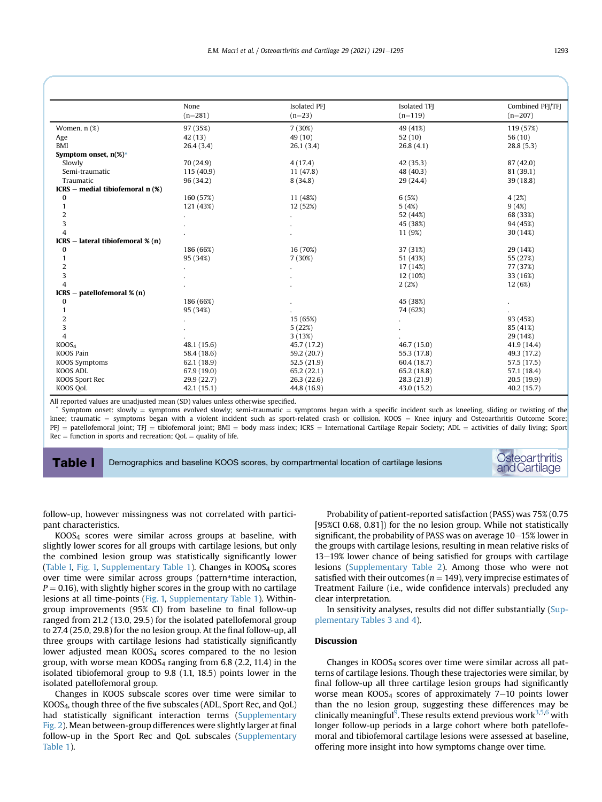<span id="page-2-0"></span>

|                                             | None        | Isolated PFI | Isolated TFI | Combined PFI/TFI |
|---------------------------------------------|-------------|--------------|--------------|------------------|
|                                             | $(n=281)$   | $(n=23)$     | $(n=119)$    | $(n=207)$        |
| Women, n (%)                                | 97 (35%)    | 7(30%)       | 49 (41%)     | 119 (57%)        |
| Age                                         | 42(13)      | 49 (10)      | 52(10)       | 56(10)           |
| <b>BMI</b>                                  | 26.4(3.4)   | 26.1(3.4)    | 26.8(4.1)    | 28.8(5.3)        |
| Symptom onset, $n(\%)^*$                    |             |              |              |                  |
| Slowly                                      | 70 (24.9)   | 4(17.4)      | 42 (35.3)    | 87(42.0)         |
| Semi-traumatic                              | 115(40.9)   | 11(47.8)     | 48 (40.3)    | 81 (39.1)        |
| Traumatic                                   | 96 (34.2)   | 8(34.8)      | 29 (24.4)    | 39(18.8)         |
| $ICRS$ – medial tibiofemoral n $(\%)$       |             |              |              |                  |
| $\bf{0}$                                    | 160 (57%)   | 11 (48%)     | 6(5%)        | 4(2%)            |
| $\mathbf{1}$                                | 121 (43%)   | 12 (52%)     | 5(4%)        | 9(4%)            |
| $\overline{2}$                              |             |              | 52 (44%)     | 68 (33%)         |
| 3                                           |             |              | 45 (38%)     | 94 (45%)         |
| $\overline{4}$                              |             |              | 11 (9%)      | 30 (14%)         |
| - lateral tibiofemoral % (n)<br><b>ICRS</b> |             |              |              |                  |
| $\bf{0}$                                    | 186 (66%)   | 16 (70%)     | 37 (31%)     | 29 (14%)         |
| $\mathbf{1}$                                | 95 (34%)    | 7(30%)       | 51 (43%)     | 55 (27%)         |
| $\overline{2}$                              |             |              | 17 (14%)     | 77 (37%)         |
| 3                                           |             |              | 12 (10%)     | 33 (16%)         |
| $\overline{4}$                              |             |              | 2(2%)        | 12 (6%)          |
| - patellofemoral % (n)<br><b>ICRS</b>       |             |              |              |                  |
| $\boldsymbol{0}$                            | 186 (66%)   |              | 45 (38%)     |                  |
| $\mathbf{1}$                                | 95 (34%)    |              | 74 (62%)     |                  |
| $\overline{c}$                              |             | 15 (65%)     |              | 93 (45%)         |
| 3                                           |             | 5(22%)       |              | 85 (41%)         |
| $\overline{4}$                              |             | 3(13%)       |              | 29 (14%)         |
| KOOS <sub>4</sub>                           | 48.1 (15.6) | 45.7 (17.2)  | 46.7 (15.0)  | 41.9 (14.4)      |
| <b>KOOS Pain</b>                            | 58.4 (18.6) | 59.2 (20.7)  | 55.3 (17.8)  | 49.3 (17.2)      |
| KOOS Symptoms                               | 62.1 (18.9) | 52.5(21.9)   | 60.4 (18.7)  | 57.5 (17.5)      |
| <b>KOOS ADL</b>                             | 67.9 (19.0) | 65.2(22.1)   | 65.2 (18.8)  | 57.1 (18.4)      |
| KOOS Sport Rec                              | 29.9(22.7)  | 26.3(22.6)   | 28.3 (21.9)  | 20.5(19.9)       |
| KOOS QoL                                    | 42.1(15.1)  | 44.8 (16.9)  | 43.0 (15.2)  | 40.2(15.7)       |

All reported values are unadjusted mean (SD) values unless otherwise specified.

Symptom onset: slowly = symptoms evolved slowly; semi-traumatic = symptoms began with a specific incident such as kneeling, sliding or twisting of the knee; traumatic = symptoms began with a violent incident such as sport-related crash or collision. KOOS = Knee injury and Osteoarthritis Outcome Score;  $PFJ$  = patellofemoral joint; TFJ = tibiofemoral joint; BMI = body mass index; ICRS = International Cartilage Repair Society; ADL = activities of daily living; Sport  $Rec = function in sports and recreaction; QoL = quality of life.$ 

Table I Demographics and baseline KOOS scores, by compartmental location of cartilage lesions Costeoarthritis

andCartilage

follow-up, however missingness was not correlated with participant characteristics.

KOOS4 scores were similar across groups at baseline, with slightly lower scores for all groups with cartilage lesions, but only the combined lesion group was statistically significantly lower ([Table I,](#page-2-0) [Fig. 1,](#page-3-0) Supplementary Table 1). Changes in  $KOOS<sub>4</sub>$  scores over time were similar across groups (pattern\*time interaction,  $P = 0.16$ ), with slightly higher scores in the group with no cartilage lesions at all time-points ([Fig. 1,](#page-3-0) Supplementary Table 1). Withingroup improvements (95% CI) from baseline to final follow-up ranged from 21.2 (13.0, 29.5) for the isolated patellofemoral group to 27.4 (25.0, 29.8) for the no lesion group. At the final follow-up, all three groups with cartilage lesions had statistically significantly lower adjusted mean  $KOOS<sub>4</sub>$  scores compared to the no lesion group, with worse mean  $KOOS<sub>4</sub>$  ranging from 6.8 (2.2, 11.4) in the isolated tibiofemoral group to 9.8 (1.1, 18.5) points lower in the isolated patellofemoral group.

Changes in KOOS subscale scores over time were similar to KOOS4, though three of the five subscales (ADL, Sport Rec, and QoL) had statistically significant interaction terms (Supplementary Fig. 2). Mean between-group differences were slightly larger at final follow-up in the Sport Rec and QoL subscales (Supplementary Table 1).

Probability of patient-reported satisfaction (PASS) was 75% (0.75 [95%CI 0.68, 0.81]) for the no lesion group. While not statistically significant, the probability of PASS was on average  $10-15%$  lower in the groups with cartilage lesions, resulting in mean relative risks of 13-19% lower chance of being satisfied for groups with cartilage lesions (Supplementary Table 2). Among those who were not satisfied with their outcomes ( $n = 149$ ), very imprecise estimates of Treatment Failure (i.e., wide confidence intervals) precluded any clear interpretation.

In sensitivity analyses, results did not differ substantially (Supplementary Tables 3 and 4).

## Discussion

Changes in  $KOOS<sub>4</sub>$  scores over time were similar across all patterns of cartilage lesions. Though these trajectories were similar, by final follow-up all three cartilage lesion groups had significantly worse mean  $KOOS<sub>4</sub>$  scores of approximately 7–10 points lower than the no lesion group, suggesting these differences may be clinically meaningful $^9$  $^9$ . These results extend previous work $^{3,5,6}$  $^{3,5,6}$  $^{3,5,6}$  $^{3,5,6}$  $^{3,5,6}$  $^{3,5,6}$  $^{3,5,6}$  with longer follow-up periods in a large cohort where both patellofemoral and tibiofemoral cartilage lesions were assessed at baseline, offering more insight into how symptoms change over time.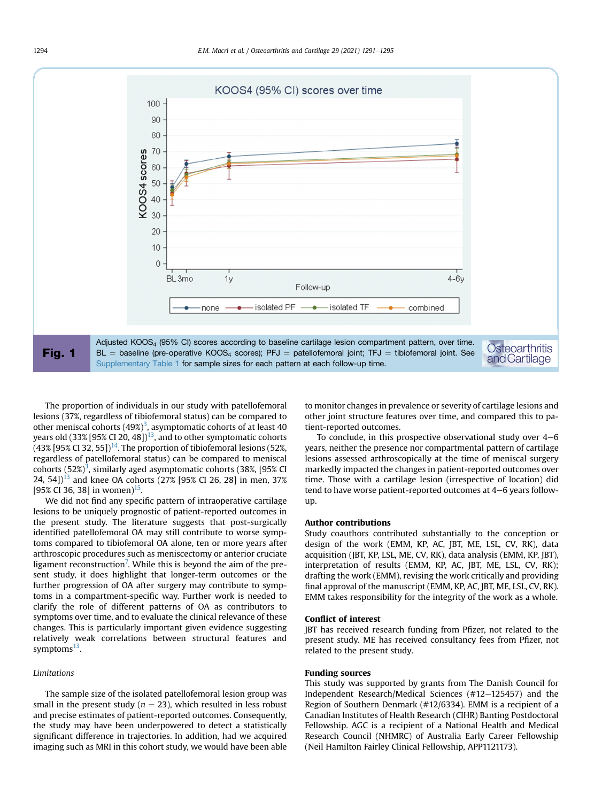<span id="page-3-0"></span>

The proportion of individuals in our study with patellofemoral lesions (37%, regardless of tibiofemoral status) can be compared to other meniscal cohorts (49%) $^3$  $^3$ , asymptomatic cohorts of at least 40 years old (33% [95% CI 20, 48])<sup>13</sup>, and to other symptomatic cohorts  $(43\%$  [95% CI 32, 55])<sup>14</sup>. The proportion of tibiofemoral lesions (52%, regardless of patellofemoral status) can be compared to meniscal cohorts (52%) $^3$ , similarly aged asymptomatic cohorts (38%, [95% CI 24, 54] $]$ <sup>[13](#page-4-12)</sup> and knee OA cohorts (27% [95% CI 26, 28] in men, 37% [95% CI 36, 38] in women)<sup>[15](#page-4-14)</sup>.

We did not find any specific pattern of intraoperative cartilage lesions to be uniquely prognostic of patient-reported outcomes in the present study. The literature suggests that post-surgically identified patellofemoral OA may still contribute to worse symptoms compared to tibiofemoral OA alone, ten or more years after arthroscopic procedures such as meniscectomy or anterior cruciate ligament reconstruction<sup>[7](#page-4-6)</sup>. While this is beyond the aim of the present study, it does highlight that longer-term outcomes or the further progression of OA after surgery may contribute to symptoms in a compartment-specific way. Further work is needed to clarify the role of different patterns of OA as contributors to symptoms over time, and to evaluate the clinical relevance of these changes. This is particularly important given evidence suggesting relatively weak correlations between structural features and symptoms $^{13}$ .

#### Limitations

The sample size of the isolated patellofemoral lesion group was small in the present study ( $n = 23$ ), which resulted in less robust and precise estimates of patient-reported outcomes. Consequently, the study may have been underpowered to detect a statistically significant difference in trajectories. In addition, had we acquired imaging such as MRI in this cohort study, we would have been able to monitor changes in prevalence or severity of cartilage lesions and other joint structure features over time, and compared this to patient-reported outcomes.

To conclude, in this prospective observational study over  $4-6$ years, neither the presence nor compartmental pattern of cartilage lesions assessed arthroscopically at the time of meniscal surgery markedly impacted the changes in patient-reported outcomes over time. Those with a cartilage lesion (irrespective of location) did tend to have worse patient-reported outcomes at  $4-6$  years followup.

#### Author contributions

Study coauthors contributed substantially to the conception or design of the work (EMM, KP, AC, JBT, ME, LSL, CV, RK), data acquisition (JBT, KP, LSL, ME, CV, RK), data analysis (EMM, KP, JBT), interpretation of results (EMM, KP, AC, JBT, ME, LSL, CV, RK); drafting the work (EMM), revising the work critically and providing final approval of the manuscript (EMM, KP, AC, JBT, ME, LSL, CV, RK). EMM takes responsibility for the integrity of the work as a whole.

#### Conflict of interest

JBT has received research funding from Pfizer, not related to the present study. ME has received consultancy fees from Pfizer, not related to the present study.

#### Funding sources

This study was supported by grants from The Danish Council for Independent Research/Medical Sciences (#12-125457) and the Region of Southern Denmark (#12/6334). EMM is a recipient of a Canadian Institutes of Health Research (CIHR) Banting Postdoctoral Fellowship. AGC is a recipient of a National Health and Medical Research Council (NHMRC) of Australia Early Career Fellowship (Neil Hamilton Fairley Clinical Fellowship, APP1121173).